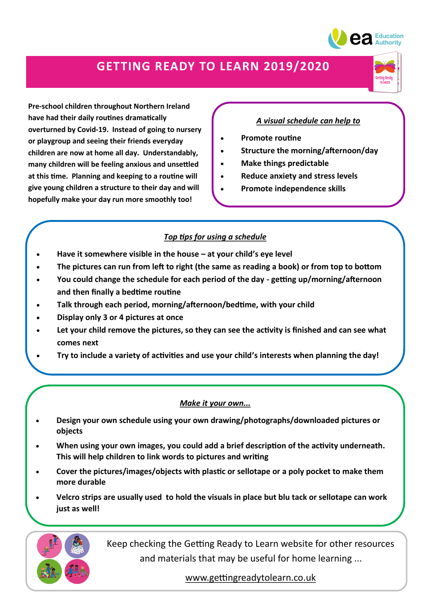

## **GETTING READY TO LEARN 2019/2020**

**Pre-school children throughout Northern Ireland have had their daily routines dramatically overturned by Covid-19. Instead of going to nursery or playgroup and seeing their friends everyday children are now at home all day. Understandably, many children will be feeling anxious and unsettled at this time. Planning and keeping to a routine will give young children a structure to their day and will hopefully make your day run more smoothly too!**

## *A visual schedule can help to*

- **Promote routine**
- **Structure the morning/afternoon/day**
- **Make things predictable**
- **Reduce anxiety and stress levels**
- **Promote independence skills**

## *Top tips for using a schedule*

- **Have it somewhere visible in the house – at your child's eye level**
- **The pictures can run from left to right (the same as reading a book) or from top to bottom**
- **You could change the schedule for each period of the day - getting up/morning/afternoon and then finally a bedtime routine**
- **Talk through each period, morning/afternoon/bedtime, with your child**
- **Display only 3 or 4 pictures at once**
- **Let your child remove the pictures, so they can see the activity is finished and can see what comes next**
- **Try to include a variety of activities and use your child's interests when planning the day!**

## *Make it your own...*

- **Design your own schedule using your own drawing/photographs/downloaded pictures or objects**
- **When using your own images, you could add a brief description of the activity underneath. This will help children to link words to pictures and writing**
- **Cover the pictures/images/objects with plastic or sellotape or a poly pocket to make them more durable**
- **Velcro strips are usually used to hold the visuals in place but blu tack or sellotape can work just as well!**



Keep checking the Getting Ready to Learn website for other resources and materials that may be useful for home learning ...

www.gettingreadytolearn.co.uk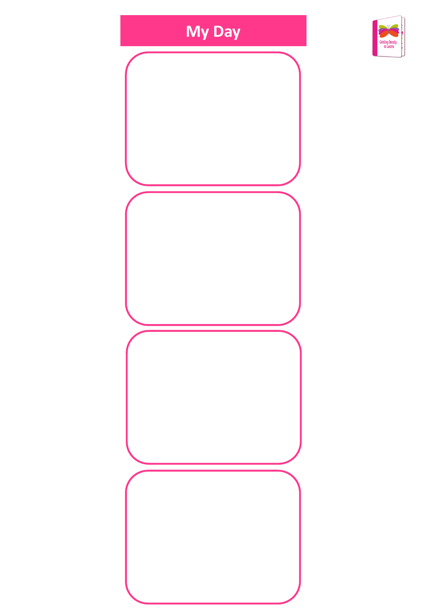

etting Read<br>to Learn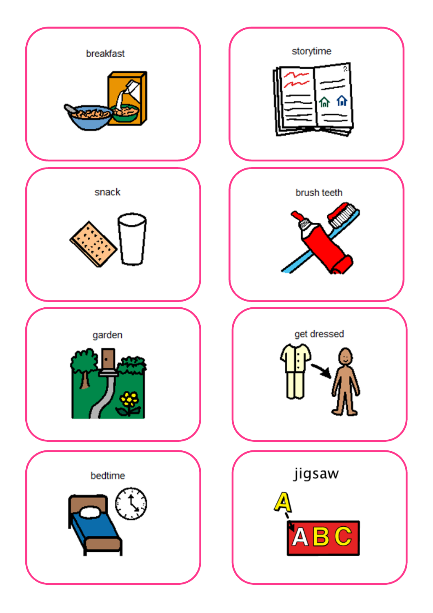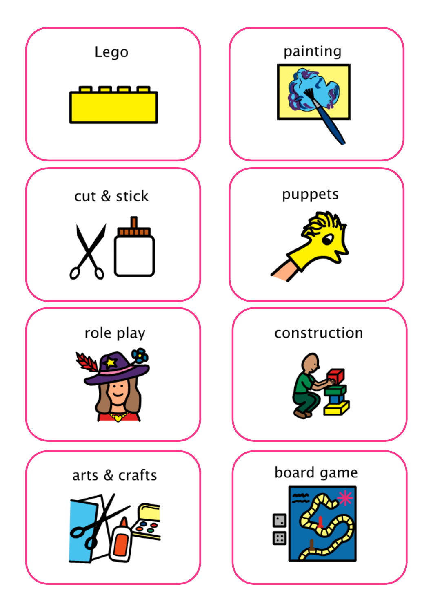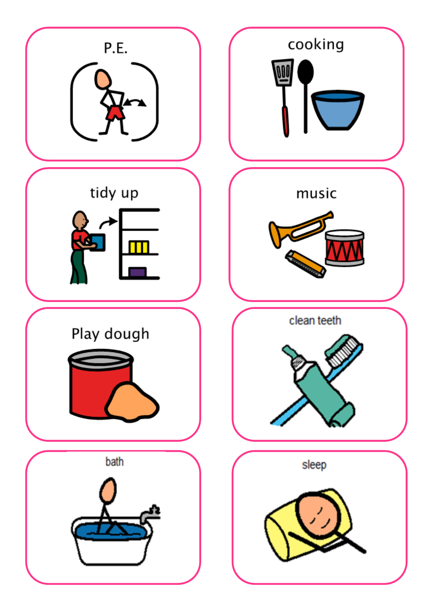